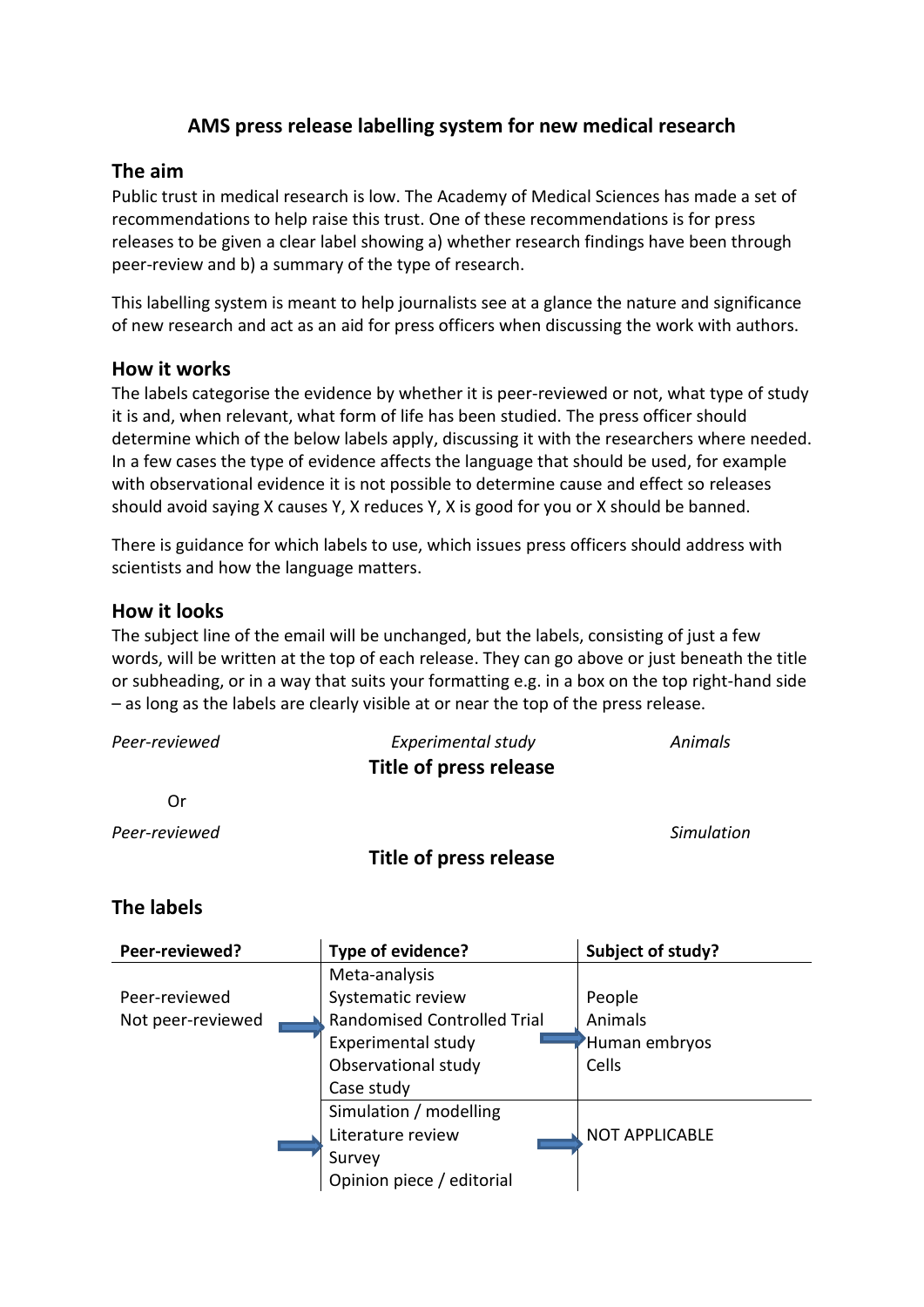# **AMS press release labelling system for new medical research**

## **The aim**

Public trust in medical research is low. The Academy of Medical Sciences has made a set of recommendations to help raise this trust. One of these recommendations is for press releases to be given a clear label showing a) whether research findings have been through peer-review and b) a summary of the type of research.

This labelling system is meant to help journalists see at a glance the nature and significance of new research and act as an aid for press officers when discussing the work with authors.

## **How it works**

The labels categorise the evidence by whether it is peer-reviewed or not, what type of study it is and, when relevant, what form of life has been studied. The press officer should determine which of the below labels apply, discussing it with the researchers where needed. In a few cases the type of evidence affects the language that should be used, for example with observational evidence it is not possible to determine cause and effect so releases should avoid saying X causes Y, X reduces Y, X is good for you or X should be banned.

There is guidance for which labels to use, which issues press officers should address with scientists and how the language matters.

## **How it looks**

The subject line of the email will be unchanged, but the labels, consisting of just a few words, will be written at the top of each release. They can go above or just beneath the title or subheading, or in a way that suits your formatting e.g. in a box on the top right-hand side – as long as the labels are clearly visible at or near the top of the press release.

| Peer-reviewed  | Experimental study<br><b>Title of press release</b> | Animals    |
|----------------|-----------------------------------------------------|------------|
| Or             |                                                     |            |
| Peer-reviewed  | Title of press release                              | Simulation |
| The collection |                                                     |            |

## **The labels**

| Peer-reviewed?    | Type of evidence?                  | Subject of study?     |
|-------------------|------------------------------------|-----------------------|
|                   | Meta-analysis                      |                       |
| Peer-reviewed     | Systematic review                  | People                |
| Not peer-reviewed | <b>Randomised Controlled Trial</b> | Animals               |
|                   | <b>Experimental study</b>          | Human embryos         |
|                   | Observational study                | Cells                 |
|                   | Case study                         |                       |
|                   | Simulation / modelling             |                       |
|                   | Literature review                  | <b>NOT APPLICABLE</b> |
|                   | Survey                             |                       |
|                   | Opinion piece / editorial          |                       |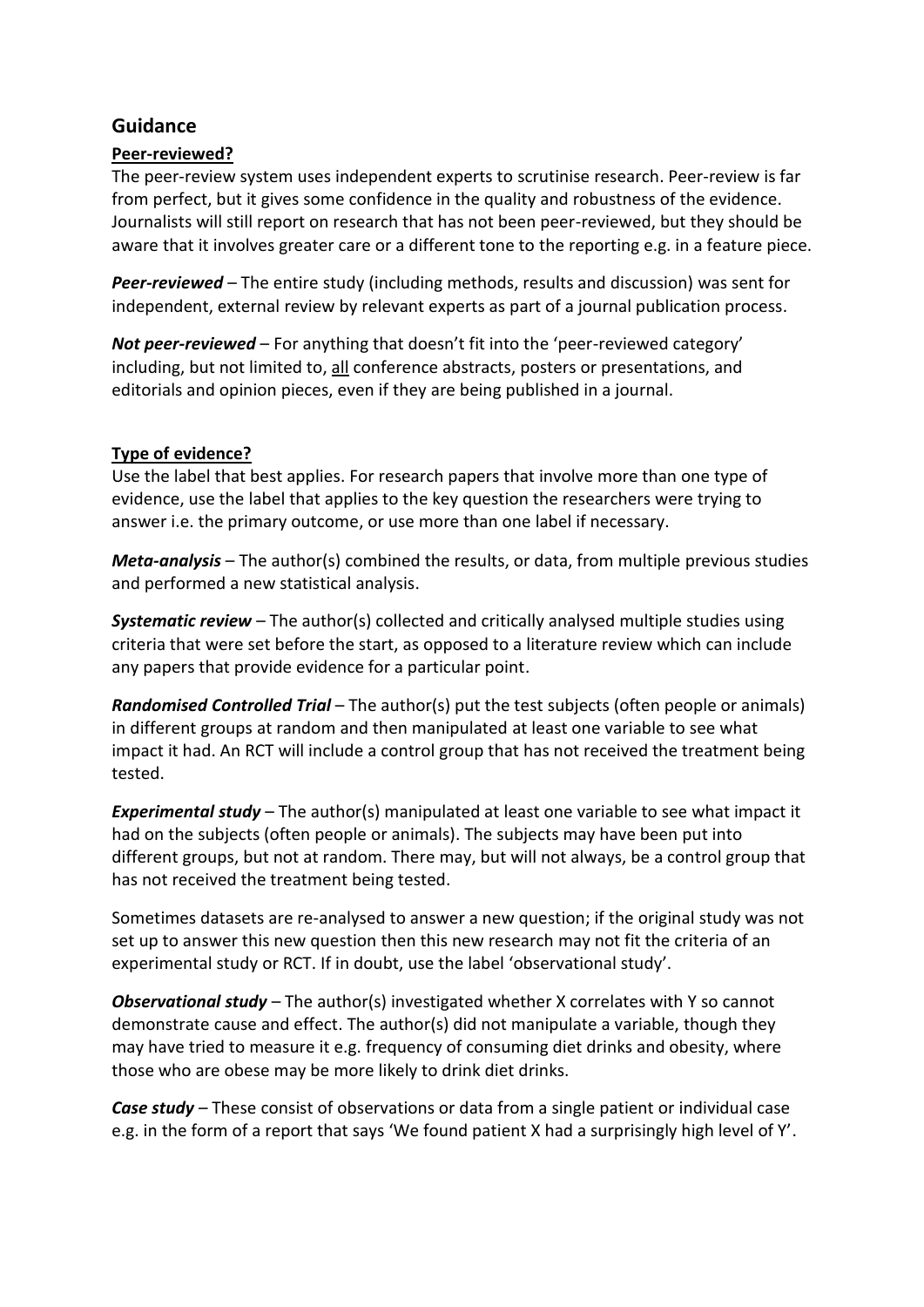## **Guidance**

### **Peer-reviewed?**

The peer-review system uses independent experts to scrutinise research. Peer-review is far from perfect, but it gives some confidence in the quality and robustness of the evidence. Journalists will still report on research that has not been peer-reviewed, but they should be aware that it involves greater care or a different tone to the reporting e.g. in a feature piece.

*Peer-reviewed* – The entire study (including methods, results and discussion) was sent for independent, external review by relevant experts as part of a journal publication process.

*Not peer-reviewed* – For anything that doesn't fit into the 'peer-reviewed category' including, but not limited to, all conference abstracts, posters or presentations, and editorials and opinion pieces, even if they are being published in a journal.

### **Type of evidence?**

Use the label that best applies. For research papers that involve more than one type of evidence, use the label that applies to the key question the researchers were trying to answer i.e. the primary outcome, or use more than one label if necessary.

*Meta-analysis* – The author(s) combined the results, or data, from multiple previous studies and performed a new statistical analysis.

*Systematic review –* The author(s) collected and critically analysed multiple studies using criteria that were set before the start, as opposed to a literature review which can include any papers that provide evidence for a particular point.

*Randomised Controlled Trial* – The author(s) put the test subjects (often people or animals) in different groups at random and then manipulated at least one variable to see what impact it had. An RCT will include a control group that has not received the treatment being tested.

*Experimental study* – The author(s) manipulated at least one variable to see what impact it had on the subjects (often people or animals). The subjects may have been put into different groups, but not at random. There may, but will not always, be a control group that has not received the treatment being tested.

Sometimes datasets are re-analysed to answer a new question; if the original study was not set up to answer this new question then this new research may not fit the criteria of an experimental study or RCT. If in doubt, use the label 'observational study'.

*Observational study* – The author(s) investigated whether X correlates with Y so cannot demonstrate cause and effect. The author(s) did not manipulate a variable, though they may have tried to measure it e.g. frequency of consuming diet drinks and obesity, where those who are obese may be more likely to drink diet drinks.

*Case study –* These consist of observations or data from a single patient or individual case e.g. in the form of a report that says 'We found patient X had a surprisingly high level of Y'.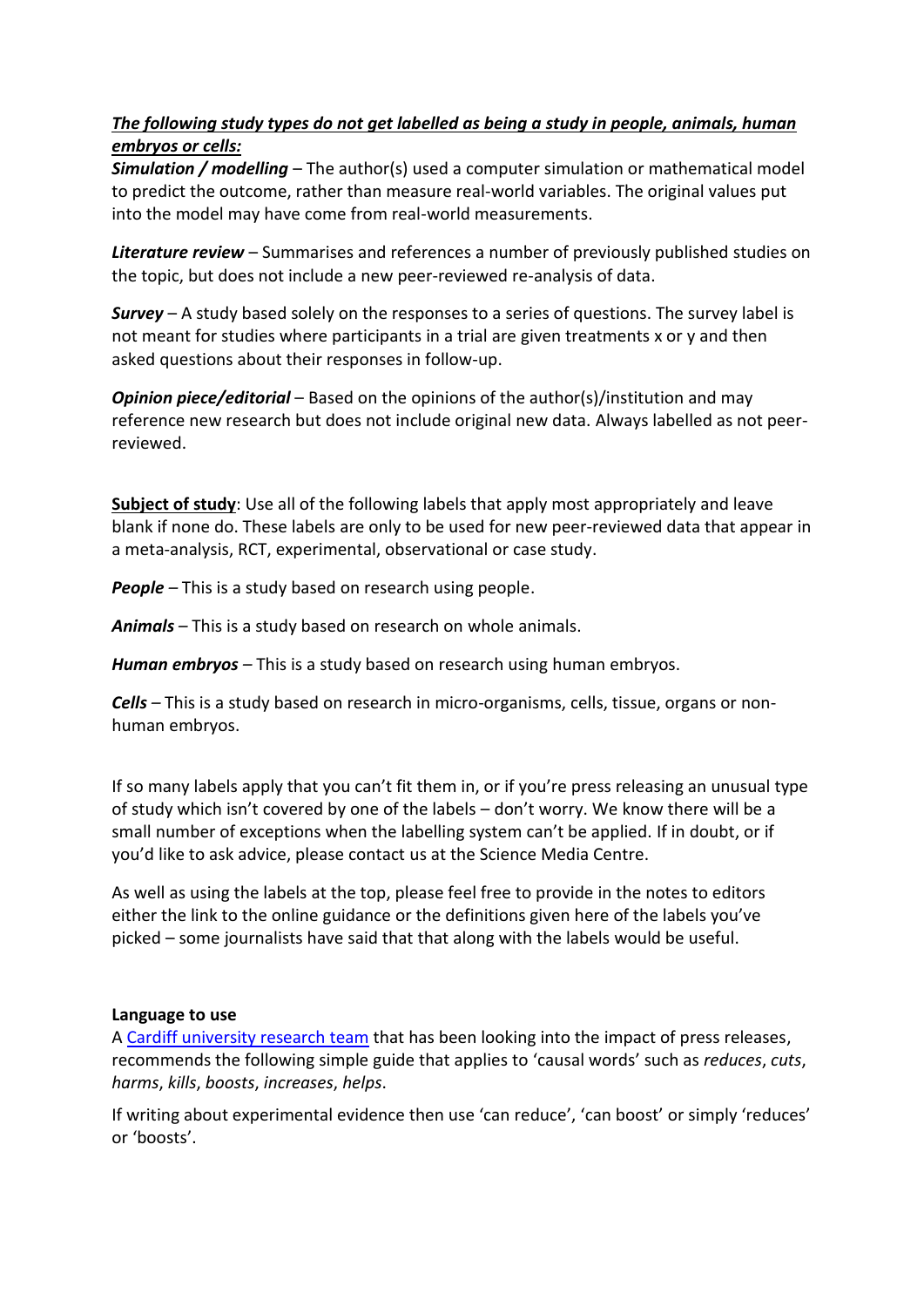## *The following study types do not get labelled as being a study in people, animals, human embryos or cells:*

*Simulation / modelling* – The author(s) used a computer simulation or mathematical model to predict the outcome, rather than measure real-world variables. The original values put into the model may have come from real-world measurements.

*Literature review* – Summarises and references a number of previously published studies on the topic, but does not include a new peer-reviewed re-analysis of data.

*Survey* – A study based solely on the responses to a series of questions. The survey label is not meant for studies where participants in a trial are given treatments x or y and then asked questions about their responses in follow-up.

*Opinion piece/editorial* – Based on the opinions of the author(s)/institution and may reference new research but does not include original new data. Always labelled as not peerreviewed.

**Subject of study**: Use all of the following labels that apply most appropriately and leave blank if none do. These labels are only to be used for new peer-reviewed data that appear in a meta-analysis, RCT, experimental, observational or case study.

*People –* This is a study based on research using people.

*Animals –* This is a study based on research on whole animals.

*Human embryos –* This is a study based on research using human embryos.

*Cells –* This is a study based on research in micro-organisms, cells, tissue, organs or nonhuman embryos.

If so many labels apply that you can't fit them in, or if you're press releasing an unusual type of study which isn't covered by one of the labels – don't worry. We know there will be a small number of exceptions when the labelling system can't be applied. If in doubt, or if you'd like to ask advice, please contact us at the Science Media Centre.

As well as using the labels at the top, please feel free to provide in the notes to editors either the link to the online guidance or the definitions given here of the labels you've picked – some journalists have said that that along with the labels would be useful.

#### **Language to use**

A [Cardiff university research team](http://journals.plos.org/plosone/article?id=10.1371/journal.pone.0168217) that has been looking into the impact of press releases, recommends the following simple guide that applies to 'causal words' such as *reduces*, *cuts*, *harms*, *kills*, *boosts*, *increases*, *helps*.

If writing about experimental evidence then use 'can reduce', 'can boost' or simply 'reduces' or 'boosts'.